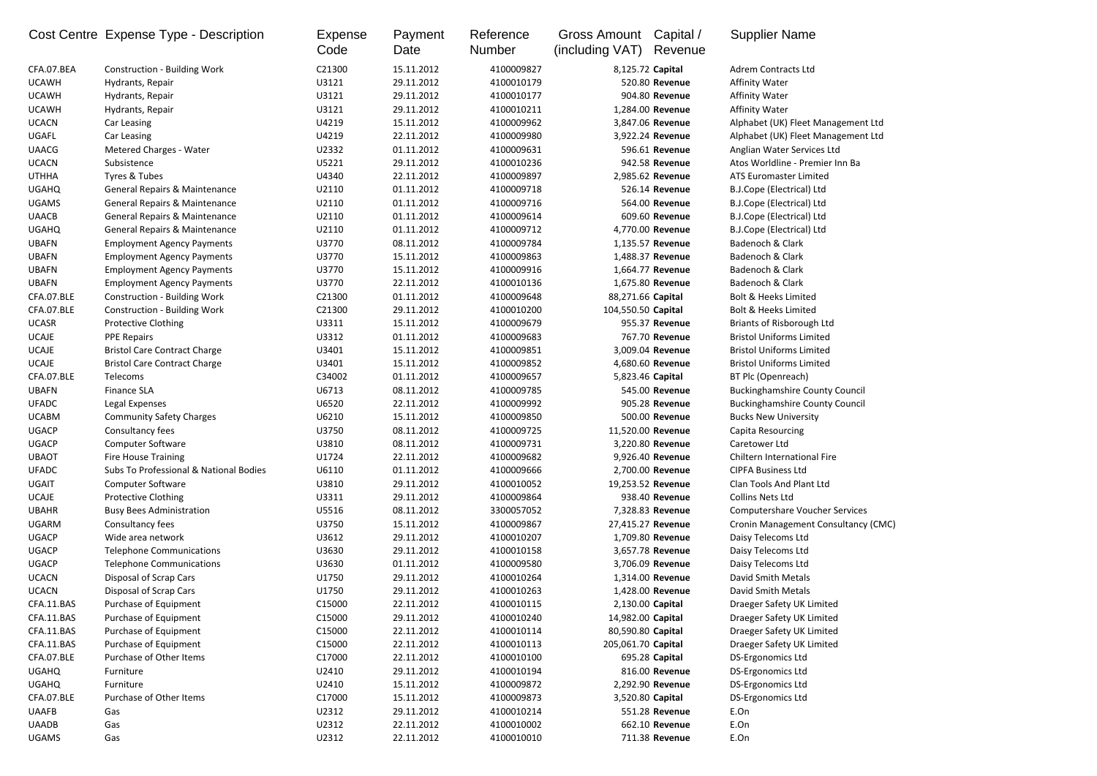|              | Cost Centre Expense Type - Description   | Expense<br>Code | Payment<br>Date | Reference<br><b>Number</b> | Capital /<br>Gross Amount<br>(including VAT)<br>Revenue | <b>Supplier Name</b>                  |
|--------------|------------------------------------------|-----------------|-----------------|----------------------------|---------------------------------------------------------|---------------------------------------|
| CFA.07.BEA   | <b>Construction - Building Work</b>      | C21300          | 15.11.2012      | 4100009827                 | 8,125.72 Capital                                        | Adrem Contracts Ltd                   |
| <b>UCAWH</b> | Hydrants, Repair                         | U3121           | 29.11.2012      | 4100010179                 | 520.80 Revenue                                          | <b>Affinity Water</b>                 |
| <b>UCAWH</b> | Hydrants, Repair                         | U3121           | 29.11.2012      | 4100010177                 | 904.80 Revenue                                          | <b>Affinity Water</b>                 |
| <b>UCAWH</b> | Hydrants, Repair                         | U3121           | 29.11.2012      | 4100010211                 | 1,284.00 Revenue                                        | <b>Affinity Water</b>                 |
| <b>UCACN</b> | Car Leasing                              | U4219           | 15.11.2012      | 4100009962                 | 3,847.06 Revenue                                        | Alphabet (UK) Fleet Management Ltd    |
| <b>UGAFL</b> | Car Leasing                              | U4219           | 22.11.2012      | 4100009980                 | 3,922.24 Revenue                                        | Alphabet (UK) Fleet Management Ltd    |
| <b>UAACG</b> | <b>Metered Charges - Water</b>           | U2332           | 01.11.2012      | 4100009631                 | 596.61 Revenue                                          | Anglian Water Services Ltd            |
| <b>UCACN</b> | Subsistence                              | U5221           | 29.11.2012      | 4100010236                 | 942.58 Revenue                                          | Atos Worldline - Premier Inn Ba       |
| <b>UTHHA</b> | Tyres & Tubes                            | U4340           | 22.11.2012      | 4100009897                 | 2,985.62 Revenue                                        | <b>ATS Euromaster Limited</b>         |
| <b>UGAHQ</b> | <b>General Repairs &amp; Maintenance</b> | U2110           | 01.11.2012      | 4100009718                 | 526.14 Revenue                                          | <b>B.J.Cope (Electrical) Ltd</b>      |
| <b>UGAMS</b> | <b>General Repairs &amp; Maintenance</b> | U2110           | 01.11.2012      | 4100009716                 | 564.00 Revenue                                          | B.J.Cope (Electrical) Ltd             |
| <b>UAACB</b> | <b>General Repairs &amp; Maintenance</b> | U2110           | 01.11.2012      | 4100009614                 | 609.60 Revenue                                          | <b>B.J.Cope (Electrical) Ltd</b>      |
| <b>UGAHQ</b> | General Repairs & Maintenance            | U2110           | 01.11.2012      | 4100009712                 | 4,770.00 Revenue                                        | <b>B.J.Cope (Electrical) Ltd</b>      |
| <b>UBAFN</b> | <b>Employment Agency Payments</b>        | U3770           | 08.11.2012      | 4100009784                 | 1,135.57 Revenue                                        | Badenoch & Clark                      |
| <b>UBAFN</b> | <b>Employment Agency Payments</b>        | U3770           | 15.11.2012      | 4100009863                 | 1,488.37 Revenue                                        | Badenoch & Clark                      |
| <b>UBAFN</b> | <b>Employment Agency Payments</b>        | U3770           | 15.11.2012      | 4100009916                 | 1,664.77 Revenue                                        | Badenoch & Clark                      |
| <b>UBAFN</b> | <b>Employment Agency Payments</b>        | U3770           | 22.11.2012      | 4100010136                 | 1,675.80 Revenue                                        | Badenoch & Clark                      |
| CFA.07.BLE   | <b>Construction - Building Work</b>      | C21300          | 01.11.2012      | 4100009648                 | 88,271.66 Capital                                       | <b>Bolt &amp; Heeks Limited</b>       |
| CFA.07.BLE   | <b>Construction - Building Work</b>      | C21300          | 29.11.2012      | 4100010200                 | 104,550.50 Capital                                      | <b>Bolt &amp; Heeks Limited</b>       |
| <b>UCASR</b> | <b>Protective Clothing</b>               | U3311           | 15.11.2012      | 4100009679                 | 955.37 Revenue                                          | <b>Briants of Risborough Ltd</b>      |
| <b>UCAJE</b> | <b>PPE Repairs</b>                       | U3312           | 01.11.2012      | 4100009683                 | 767.70 Revenue                                          | <b>Bristol Uniforms Limited</b>       |
| <b>UCAJE</b> | <b>Bristol Care Contract Charge</b>      | U3401           | 15.11.2012      | 4100009851                 | 3,009.04 Revenue                                        | <b>Bristol Uniforms Limited</b>       |
| <b>UCAJE</b> | <b>Bristol Care Contract Charge</b>      | U3401           | 15.11.2012      | 4100009852                 | 4,680.60 Revenue                                        | <b>Bristol Uniforms Limited</b>       |
| CFA.07.BLE   | Telecoms                                 | C34002          | 01.11.2012      | 4100009657                 | 5,823.46 Capital                                        | BT Plc (Openreach)                    |
| <b>UBAFN</b> | <b>Finance SLA</b>                       | U6713           | 08.11.2012      | 4100009785                 | 545.00 Revenue                                          | <b>Buckinghamshire County Council</b> |
| <b>UFADC</b> | Legal Expenses                           | U6520           | 22.11.2012      | 4100009992                 | 905.28 Revenue                                          | <b>Buckinghamshire County Council</b> |
| <b>UCABM</b> | <b>Community Safety Charges</b>          | U6210           | 15.11.2012      | 4100009850                 | 500.00 Revenue                                          | <b>Bucks New University</b>           |
| <b>UGACP</b> | Consultancy fees                         | U3750           | 08.11.2012      | 4100009725                 | 11,520.00 Revenue                                       | Capita Resourcing                     |
| <b>UGACP</b> | <b>Computer Software</b>                 | U3810           | 08.11.2012      | 4100009731                 | 3,220.80 Revenue                                        | Caretower Ltd                         |
| <b>UBAOT</b> | <b>Fire House Training</b>               | U1724           | 22.11.2012      | 4100009682                 | 9,926.40 Revenue                                        | Chiltern International Fire           |
| <b>UFADC</b> | Subs To Professional & National Bodies   | U6110           | 01.11.2012      | 4100009666                 | 2,700.00 Revenue                                        | <b>CIPFA Business Ltd</b>             |
| <b>UGAIT</b> | Computer Software                        | U3810           | 29.11.2012      | 4100010052                 | 19,253.52 Revenue                                       | Clan Tools And Plant Ltd              |
| <b>UCAJE</b> | <b>Protective Clothing</b>               | U3311           | 29.11.2012      | 4100009864                 | 938.40 Revenue                                          | <b>Collins Nets Ltd</b>               |
| <b>UBAHR</b> | <b>Busy Bees Administration</b>          | U5516           | 08.11.2012      | 3300057052                 | 7,328.83 Revenue                                        | <b>Computershare Voucher Services</b> |
| <b>UGARM</b> | Consultancy fees                         | U3750           | 15.11.2012      | 4100009867                 | 27,415.27 Revenue                                       | Cronin Management Consultancy (CMC)   |
| <b>UGACP</b> | Wide area network                        | U3612           | 29.11.2012      | 4100010207                 | 1,709.80 Revenue                                        | Daisy Telecoms Ltd                    |
| <b>UGACP</b> | <b>Telephone Communications</b>          | U3630           | 29.11.2012      | 4100010158                 | 3,657.78 Revenue                                        | Daisy Telecoms Ltd                    |
| <b>UGACP</b> | <b>Telephone Communications</b>          | U3630           | 01.11.2012      | 4100009580                 | 3,706.09 Revenue                                        | Daisy Telecoms Ltd                    |
| <b>UCACN</b> | Disposal of Scrap Cars                   | U1750           | 29.11.2012      | 4100010264                 | 1,314.00 Revenue                                        | <b>David Smith Metals</b>             |
| <b>UCACN</b> | Disposal of Scrap Cars                   | U1750           | 29.11.2012      | 4100010263                 | 1,428.00 Revenue                                        | David Smith Metals                    |
| CFA.11.BAS   | Purchase of Equipment                    | C15000          | 22.11.2012      | 4100010115                 | 2,130.00 Capital                                        | Draeger Safety UK Limited             |
| CFA.11.BAS   | Purchase of Equipment                    | C15000          | 29.11.2012      | 4100010240                 | 14,982.00 Capital                                       | Draeger Safety UK Limited             |
| CFA.11.BAS   | Purchase of Equipment                    | C15000          | 22.11.2012      | 4100010114                 | 80,590.80 Capital                                       | Draeger Safety UK Limited             |
| CFA.11.BAS   | Purchase of Equipment                    | C15000          | 22.11.2012      | 4100010113                 | 205,061.70 Capital                                      | Draeger Safety UK Limited             |
| CFA.07.BLE   | Purchase of Other Items                  | C17000          | 22.11.2012      | 4100010100                 | 695.28 Capital                                          | DS-Ergonomics Ltd                     |
| <b>UGAHQ</b> | Furniture                                | U2410           | 29.11.2012      | 4100010194                 | 816.00 Revenue                                          | DS-Ergonomics Ltd                     |
| <b>UGAHQ</b> | Furniture                                | U2410           | 15.11.2012      | 4100009872                 | 2,292.90 Revenue                                        | DS-Ergonomics Ltd                     |
| CFA.07.BLE   | Purchase of Other Items                  | C17000          | 15.11.2012      | 4100009873                 | 3,520.80 Capital                                        | <b>DS-Ergonomics Ltd</b>              |
| <b>UAAFB</b> | Gas                                      | U2312           | 29.11.2012      | 4100010214                 | 551.28 Revenue                                          | E.On                                  |
| <b>UAADB</b> | Gas                                      | U2312           | 22.11.2012      | 4100010002                 | 662.10 Revenue                                          | E.On                                  |
| <b>UGAMS</b> | Gas                                      | U2312           | 22.11.2012      | 4100010010                 | 711.38 Revenue                                          | E.On                                  |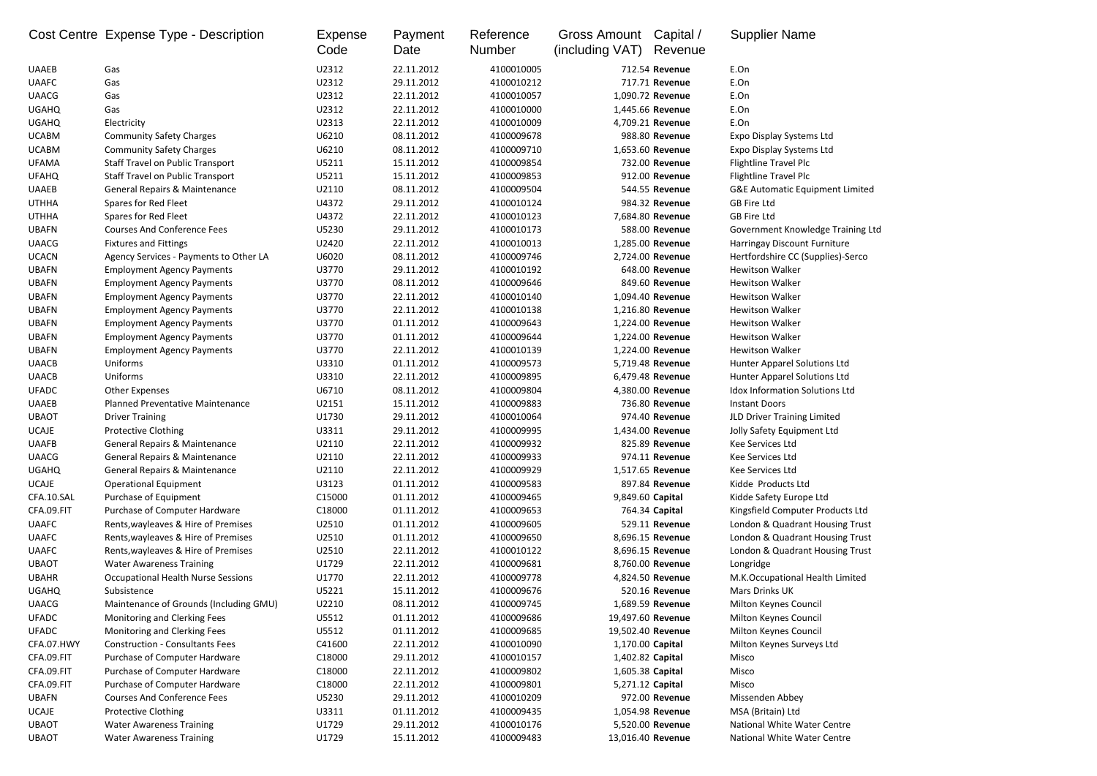|              | Cost Centre Expense Type - Description    | Expense<br>Code | Payment<br>Date | Reference<br><b>Number</b> | Gross Amount<br>(including VAT) | Capital /<br>Revenue | <b>Supplier Name</b>                       |
|--------------|-------------------------------------------|-----------------|-----------------|----------------------------|---------------------------------|----------------------|--------------------------------------------|
| <b>UAAEB</b> | Gas                                       | U2312           | 22.11.2012      | 4100010005                 |                                 | 712.54 Revenue       | E.On                                       |
| <b>UAAFC</b> | Gas                                       | U2312           | 29.11.2012      | 4100010212                 |                                 | 717.71 Revenue       | E.On                                       |
| <b>UAACG</b> | Gas                                       | U2312           | 22.11.2012      | 4100010057                 |                                 | 1,090.72 Revenue     | E.On                                       |
| <b>UGAHQ</b> | Gas                                       | U2312           | 22.11.2012      | 4100010000                 |                                 | 1,445.66 Revenue     | E.On                                       |
| <b>UGAHQ</b> | Electricity                               | U2313           | 22.11.2012      | 4100010009                 |                                 | 4,709.21 Revenue     | E.On                                       |
| <b>UCABM</b> | <b>Community Safety Charges</b>           | U6210           | 08.11.2012      | 4100009678                 |                                 | 988.80 Revenue       | <b>Expo Display Systems Ltd</b>            |
| <b>UCABM</b> | <b>Community Safety Charges</b>           | U6210           | 08.11.2012      | 4100009710                 |                                 | 1,653.60 Revenue     | <b>Expo Display Systems Ltd</b>            |
| <b>UFAMA</b> | Staff Travel on Public Transport          | U5211           | 15.11.2012      | 4100009854                 |                                 | 732.00 Revenue       | Flightline Travel Plc                      |
| <b>UFAHQ</b> | <b>Staff Travel on Public Transport</b>   | U5211           | 15.11.2012      | 4100009853                 |                                 | 912.00 Revenue       | Flightline Travel Plc                      |
| <b>UAAEB</b> | <b>General Repairs &amp; Maintenance</b>  | U2110           | 08.11.2012      | 4100009504                 |                                 | 544.55 Revenue       | <b>G&amp;E Automatic Equipment Limited</b> |
| <b>UTHHA</b> | Spares for Red Fleet                      | U4372           | 29.11.2012      | 4100010124                 |                                 | 984.32 Revenue       | <b>GB Fire Ltd</b>                         |
| <b>UTHHA</b> | Spares for Red Fleet                      | U4372           | 22.11.2012      | 4100010123                 |                                 | 7,684.80 Revenue     | <b>GB Fire Ltd</b>                         |
| <b>UBAFN</b> | <b>Courses And Conference Fees</b>        | U5230           | 29.11.2012      | 4100010173                 |                                 | 588.00 Revenue       | Government Knowledge Training Ltd          |
| <b>UAACG</b> | <b>Fixtures and Fittings</b>              | U2420           | 22.11.2012      | 4100010013                 |                                 | 1,285.00 Revenue     | Harringay Discount Furniture               |
| <b>UCACN</b> | Agency Services - Payments to Other LA    | U6020           | 08.11.2012      | 4100009746                 |                                 | 2,724.00 Revenue     | Hertfordshire CC (Supplies)-Serco          |
| <b>UBAFN</b> | <b>Employment Agency Payments</b>         | U3770           | 29.11.2012      | 4100010192                 |                                 | 648.00 Revenue       | <b>Hewitson Walker</b>                     |
| <b>UBAFN</b> | <b>Employment Agency Payments</b>         | U3770           | 08.11.2012      | 4100009646                 |                                 | 849.60 Revenue       | <b>Hewitson Walker</b>                     |
| <b>UBAFN</b> | <b>Employment Agency Payments</b>         | U3770           | 22.11.2012      | 4100010140                 |                                 | 1,094.40 Revenue     | <b>Hewitson Walker</b>                     |
| <b>UBAFN</b> | <b>Employment Agency Payments</b>         | U3770           | 22.11.2012      | 4100010138                 |                                 | 1,216.80 Revenue     | <b>Hewitson Walker</b>                     |
| <b>UBAFN</b> | <b>Employment Agency Payments</b>         | U3770           | 01.11.2012      | 4100009643                 |                                 | 1,224.00 Revenue     | <b>Hewitson Walker</b>                     |
| <b>UBAFN</b> | <b>Employment Agency Payments</b>         | U3770           | 01.11.2012      | 4100009644                 |                                 | 1,224.00 Revenue     | <b>Hewitson Walker</b>                     |
| <b>UBAFN</b> | <b>Employment Agency Payments</b>         | U3770           | 22.11.2012      | 4100010139                 |                                 | 1,224.00 Revenue     | <b>Hewitson Walker</b>                     |
| <b>UAACB</b> | Uniforms                                  | U3310           | 01.11.2012      | 4100009573                 |                                 | 5,719.48 Revenue     | Hunter Apparel Solutions Ltd               |
| <b>UAACB</b> | Uniforms                                  | U3310           | 22.11.2012      | 4100009895                 |                                 | 6,479.48 Revenue     | Hunter Apparel Solutions Ltd               |
| <b>UFADC</b> | <b>Other Expenses</b>                     | U6710           | 08.11.2012      | 4100009804                 |                                 | 4,380.00 Revenue     | <b>Idox Information Solutions Ltd</b>      |
| <b>UAAEB</b> | Planned Preventative Maintenance          | U2151           | 15.11.2012      | 4100009883                 |                                 | 736.80 Revenue       | <b>Instant Doors</b>                       |
| <b>UBAOT</b> | <b>Driver Training</b>                    | U1730           | 29.11.2012      | 4100010064                 |                                 | 974.40 Revenue       | JLD Driver Training Limited                |
| <b>UCAJE</b> | <b>Protective Clothing</b>                | U3311           | 29.11.2012      | 4100009995                 |                                 | 1,434.00 Revenue     | Jolly Safety Equipment Ltd                 |
| <b>UAAFB</b> | General Repairs & Maintenance             | U2110           | 22.11.2012      | 4100009932                 |                                 | 825.89 Revenue       | Kee Services Ltd                           |
| <b>UAACG</b> | <b>General Repairs &amp; Maintenance</b>  | U2110           | 22.11.2012      | 4100009933                 |                                 | 974.11 Revenue       | Kee Services Ltd                           |
| <b>UGAHQ</b> | General Repairs & Maintenance             | U2110           | 22.11.2012      | 4100009929                 |                                 | 1,517.65 Revenue     | Kee Services Ltd                           |
| <b>UCAJE</b> | <b>Operational Equipment</b>              | U3123           | 01.11.2012      | 4100009583                 |                                 | 897.84 Revenue       | Kidde Products Ltd                         |
| CFA.10.SAL   | Purchase of Equipment                     | C15000          | 01.11.2012      | 4100009465                 |                                 | 9,849.60 Capital     | Kidde Safety Europe Ltd                    |
| CFA.09.FIT   | Purchase of Computer Hardware             | C18000          | 01.11.2012      | 4100009653                 |                                 | 764.34 Capital       | Kingsfield Computer Products Ltd           |
| <b>UAAFC</b> | Rents, wayleaves & Hire of Premises       | U2510           | 01.11.2012      | 4100009605                 |                                 | 529.11 Revenue       | London & Quadrant Housing Trust            |
| <b>UAAFC</b> | Rents, wayleaves & Hire of Premises       | U2510           | 01.11.2012      | 4100009650                 |                                 | 8,696.15 Revenue     | London & Quadrant Housing Trust            |
| <b>UAAFC</b> | Rents, wayleaves & Hire of Premises       | U2510           | 22.11.2012      | 4100010122                 |                                 | 8,696.15 Revenue     | London & Quadrant Housing Trust            |
| <b>UBAOT</b> | <b>Water Awareness Training</b>           | U1729           | 22.11.2012      | 4100009681                 |                                 | 8,760.00 Revenue     | Longridge                                  |
| <b>UBAHR</b> | <b>Occupational Health Nurse Sessions</b> | U1770           | 22.11.2012      | 4100009778                 |                                 | 4,824.50 Revenue     | M.K.Occupational Health Limited            |
| <b>UGAHQ</b> | Subsistence                               | U5221           | 15.11.2012      | 4100009676                 |                                 | 520.16 Revenue       | <b>Mars Drinks UK</b>                      |
| <b>UAACG</b> | Maintenance of Grounds (Including GMU)    | U2210           | 08.11.2012      | 4100009745                 |                                 | 1,689.59 Revenue     | Milton Keynes Council                      |
| <b>UFADC</b> | Monitoring and Clerking Fees              | U5512           | 01.11.2012      | 4100009686                 |                                 | 19,497.60 Revenue    | Milton Keynes Council                      |
| <b>UFADC</b> | Monitoring and Clerking Fees              | U5512           | 01.11.2012      | 4100009685                 |                                 | 19,502.40 Revenue    | Milton Keynes Council                      |
| CFA.07.HWY   | <b>Construction - Consultants Fees</b>    | C41600          | 22.11.2012      | 4100010090                 | 1,170.00 Capital                |                      | Milton Keynes Surveys Ltd                  |
| CFA.09.FIT   | Purchase of Computer Hardware             | C18000          | 29.11.2012      | 4100010157                 |                                 | 1,402.82 Capital     | Misco                                      |
| CFA.09.FIT   | Purchase of Computer Hardware             | C18000          | 22.11.2012      | 4100009802                 | 1,605.38 Capital                |                      | Misco                                      |
| CFA.09.FIT   | Purchase of Computer Hardware             | C18000          | 22.11.2012      | 4100009801                 |                                 | 5,271.12 Capital     | Misco                                      |
| <b>UBAFN</b> | <b>Courses And Conference Fees</b>        | U5230           | 29.11.2012      | 4100010209                 |                                 | 972.00 Revenue       | Missenden Abbey                            |
| <b>UCAJE</b> | <b>Protective Clothing</b>                | U3311           | 01.11.2012      | 4100009435                 |                                 | 1,054.98 Revenue     | MSA (Britain) Ltd                          |
| <b>UBAOT</b> | <b>Water Awareness Training</b>           | U1729           | 29.11.2012      | 4100010176                 |                                 | 5,520.00 Revenue     | National White Water Centre                |
| <b>UBAOT</b> | <b>Water Awareness Training</b>           | U1729           | 15.11.2012      | 4100009483                 |                                 | 13,016.40 Revenue    | National White Water Centre                |